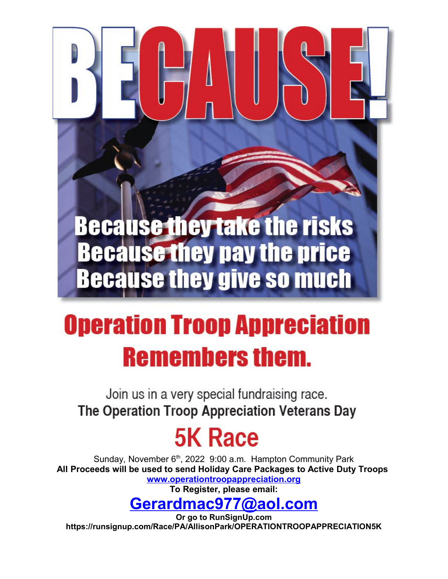## **Because they take the risks Because they pay the price Because they give so much**

## **Operation Troop Appreciation Remembers them.**

Join us in a very special fundraising race. The Operation Troop Appreciation Veterans Day

## **5K Race**

Sunday, November 6<sup>th</sup>, 2022 9:00 a.m. Hampton Community Park **All Proceeds will be used to send Holiday Care Packages to Active Duty Troops [www.operationtroopappreciation.org](http://www.operationtroopappreciation.org/)**

**To Register, please email:**

## **[Gerardmac977@aol.com](mailto:Gerardmac977@aol.com)**

**Or go to RunSignUp.com https://runsignup.com/Race/PA/AllisonPark/OPERATIONTROOPAPPRECIATION5K**